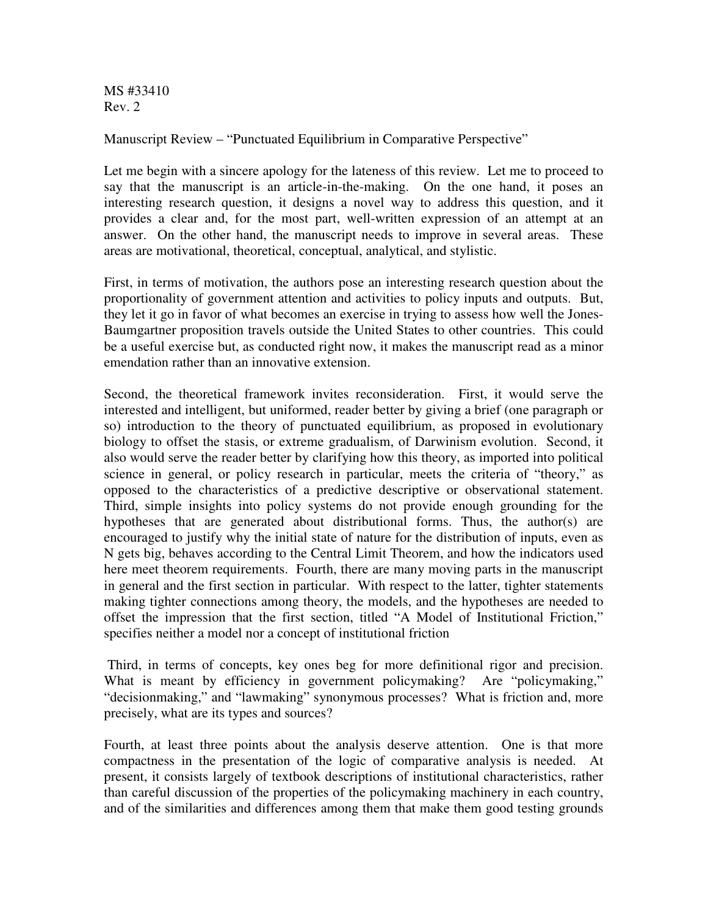MS #33410 Rev. 2

Manuscript Review – "Punctuated Equilibrium in Comparative Perspective"

Let me begin with a sincere apology for the lateness of this review. Let me to proceed to say that the manuscript is an article-in-the-making. On the one hand, it poses an interesting research question, it designs a novel way to address this question, and it provides a clear and, for the most part, well-written expression of an attempt at an answer. On the other hand, the manuscript needs to improve in several areas. These areas are motivational, theoretical, conceptual, analytical, and stylistic.

First, in terms of motivation, the authors pose an interesting research question about the proportionality of government attention and activities to policy inputs and outputs. But, they let it go in favor of what becomes an exercise in trying to assess how well the Jones-Baumgartner proposition travels outside the United States to other countries. This could be a useful exercise but, as conducted right now, it makes the manuscript read as a minor emendation rather than an innovative extension.

Second, the theoretical framework invites reconsideration. First, it would serve the interested and intelligent, but uniformed, reader better by giving a brief (one paragraph or so) introduction to the theory of punctuated equilibrium, as proposed in evolutionary biology to offset the stasis, or extreme gradualism, of Darwinism evolution. Second, it also would serve the reader better by clarifying how this theory, as imported into political science in general, or policy research in particular, meets the criteria of "theory," as opposed to the characteristics of a predictive descriptive or observational statement. Third, simple insights into policy systems do not provide enough grounding for the hypotheses that are generated about distributional forms. Thus, the author(s) are encouraged to justify why the initial state of nature for the distribution of inputs, even as N gets big, behaves according to the Central Limit Theorem, and how the indicators used here meet theorem requirements. Fourth, there are many moving parts in the manuscript in general and the first section in particular. With respect to the latter, tighter statements making tighter connections among theory, the models, and the hypotheses are needed to offset the impression that the first section, titled "A Model of Institutional Friction," specifies neither a model nor a concept of institutional friction

 Third, in terms of concepts, key ones beg for more definitional rigor and precision. What is meant by efficiency in government policymaking? Are "policymaking," "decisionmaking," and "lawmaking" synonymous processes? What is friction and, more precisely, what are its types and sources?

Fourth, at least three points about the analysis deserve attention. One is that more compactness in the presentation of the logic of comparative analysis is needed. At present, it consists largely of textbook descriptions of institutional characteristics, rather than careful discussion of the properties of the policymaking machinery in each country, and of the similarities and differences among them that make them good testing grounds